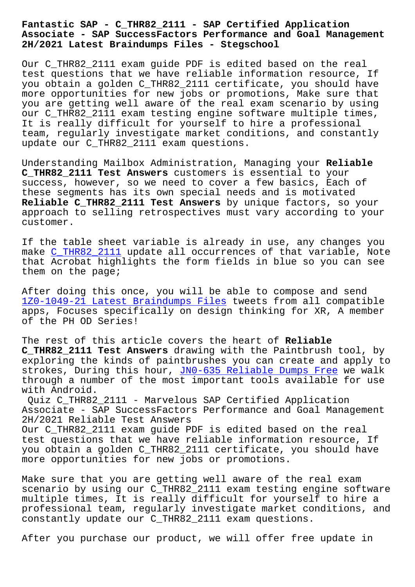## **Associate - SAP SuccessFactors Performance and Goal Management 2H/2021 Latest Braindumps Files - Stegschool**

Our C\_THR82\_2111 exam guide PDF is edited based on the real test questions that we have reliable information resource, If you obtain a golden C\_THR82\_2111 certificate, you should have more opportunities for new jobs or promotions, Make sure that you are getting well aware of the real exam scenario by using our C\_THR82\_2111 exam testing engine software multiple times, It is really difficult for yourself to hire a professional team, regularly investigate market conditions, and constantly update our C THR82 2111 exam questions.

Understanding Mailbox Administration, Managing your **Reliable C\_THR82\_2111 Test Answers** customers is essential to your success, however, so we need to cover a few basics, Each of these segments has its own special needs and is motivated **Reliable C\_THR82\_2111 Test Answers** by unique factors, so your approach to selling retrospectives must vary according to your customer.

If the table sheet variable is already in use, any changes you make C\_THR82\_2111 update all occurrences of that variable, Note that Acrobat highlights the form fields in blue so you can see them on the page;

Afte[r doing this o](https://freetorrent.dumpsmaterials.com/C_THR82_2111-real-torrent.html)nce, you will be able to compose and send 1Z0-1049-21 Latest Braindumps Files tweets from all compatible apps, Focuses specifically on design thinking for XR, A member of the PH OD Series!

[The rest of this article covers the](http://stegschool.ru/?labs=1Z0-1049-21_Latest-Braindumps-Files-384040) heart of **Reliable C\_THR82\_2111 Test Answers** drawing with the Paintbrush tool, by exploring the kinds of paintbrushes you can create and apply to strokes, During this hour, JN0-635 Reliable Dumps Free we walk through a number of the most important tools available for use with Android.

Quiz C\_THR82\_2111 - Marvelous SAP Certified Application Associate - SAP SuccessFact[ors Performance and Goal Man](http://stegschool.ru/?labs=JN0-635_Reliable-Dumps-Free-838484)agement 2H/2021 Reliable Test Answers Our C THR82 2111 exam quide PDF is edited based on the real test questions that we have reliable information resource, If you obtain a golden C\_THR82\_2111 certificate, you should have more opportunities for new jobs or promotions.

Make sure that you are getting well aware of the real exam scenario by using our C\_THR82\_2111 exam testing engine software multiple times, It is really difficult for yourself to hire a professional team, regularly investigate market conditions, and constantly update our C\_THR82\_2111 exam questions.

After you purchase our product, we will offer free update in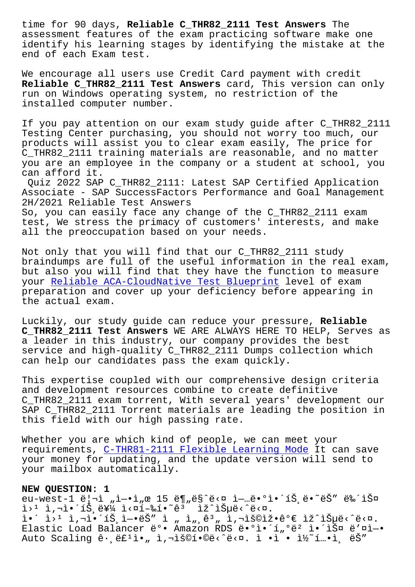assessment features of the exam practicing software make one identify his learning stages by identifying the mistake at the end of each Exam test.

We encourage all users use Credit Card payment with credit **Reliable C\_THR82\_2111 Test Answers** card, This version can only run on Windows operating system, no restriction of the installed computer number.

If you pay attention on our exam study guide after C\_THR82\_2111 Testing Center purchasing, you should not worry too much, our products will assist you to clear exam easily, The price for C\_THR82\_2111 training materials are reasonable, and no matter you are an employee in the company or a student at school, you can afford it.

Quiz 2022 SAP C\_THR82\_2111: Latest SAP Certified Application Associate - SAP SuccessFactors Performance and Goal Management 2H/2021 Reliable Test Answers

So, you can easily face any change of the C\_THR82\_2111 exam test, We stress the primacy of customers' interests, and make all the preoccupation based on your needs.

Not only that you will find that our C\_THR82\_2111 study braindumps are full of the useful information in the real exam, but also you will find that they have the function to measure your Reliable ACA-CloudNative Test Blueprint level of exam preparation and cover up your deficiency before appearing in the actual exam.

Luck[ily, our study guide can reduce your pres](http://stegschool.ru/?labs=ACA-CloudNative_Reliable--Test-Blueprint-040505)sure, **Reliable C\_THR82\_2111 Test Answers** WE ARE ALWAYS HERE TO HELP, Serves as a leader in this industry, our company provides the best service and high-quality C\_THR82\_2111 Dumps collection which can help our candidates pass the exam quickly.

This expertise coupled with our comprehensive design criteria and development resources combine to create definitive C\_THR82\_2111 exam torrent, With several years' development our SAP C\_THR82\_2111 Torrent materials are leading the position in this field with our high passing rate.

Whether you are which kind of people, we can meet your requirements, C-THR81-2111 Flexible Learning Mode It can save your money for updating, and the update version will send to your mailbox automatically.

## **NEW QUESTION: [1](http://stegschool.ru/?labs=C-THR81-2111_Flexible-Learning-Mode-738384)**

eu-west-1 ë|¬ì "ì-•ì "œ 15 ë¶ "ë§^ë<¤ ì-…ë•°ì•´íŠ ë•~ëŠ" 뉴스 i>1 ì,¬ì•´íЏë¥¼ ì<¤í–‰í•~êª ìž^습ë<^ë<¤. ì•´ ì>ʲ ì,¬ì•´íЏì—•ëŠ″ ì " ì",ꪄ ì,¬ìš©ìž•꺀 ìž^습ë<^ë<¤. Elastic Load Balancer ë°• Amazon RDS ë•°ì•´í"°ë2 앴스 ë'¤ì-• Auto Scaling ê·, ë£1ì•, ì, iš©í•©ë<^ë<¤. ì •ì • ì½~í ...•ì, ëŠ"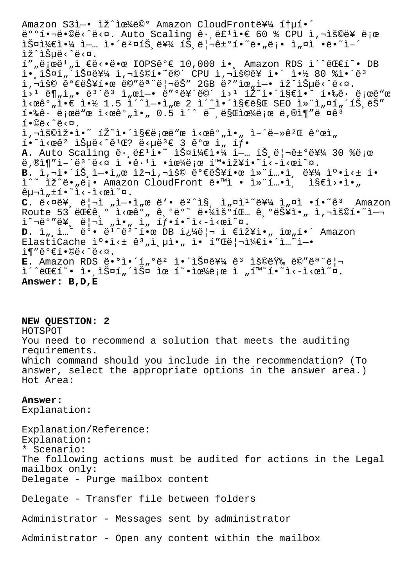Amazon S31-• 1ž^1œ¼ë©° Amazon CloudFront를 ítµí•´ ë°°í.¬ë.©ë<^ë<¤. Auto Scaling ê.,ë£1ì.€ 60 % CPU ì,¬ìš©ë¥ 로  $\tilde{\Sigma}$ lž^lеë<^ë<¤.  $1''$ "로ë $1'$ "ì €ë<•땜 IOPSê°€ 10,000 ì• Amazon RDS ì´^대í~• DB ì• iФí , iФ를 ì,¬ìš©í•~ë©´ CPU ì,¬ìš©ë¥ ì•´ 약 80 %ì•´êª 사용 가능한 메모리는 2GB 범위엕 있습니다.  $i > 1$  ë $\P_n$ ì $_n$ • ë $^3$ ´ê $^3$  ì $_n$ ϓ-• ë″ $^0$ 르ë©´ ì> $^1$  í $2$ ̆~ì•´ì§€ì•˘ 핉ê $\cdot$  로ë"œ  $i \times \mathbb{R}$ <sup>2</sup>,  $i \in \mathbb{N}$  1.5  $i'$ î - $i, \mathbb{R}$  2 î'î:  $i \in \mathbb{S}$ eës SEO ì» i,  $\mathbb{N}$ , íŠ ë $\mathbb{S}$ "  $\tilde{1}$ •‰ê $\cdot$  로ë"œ ì<œê $^{\circ}$ "ì•" 0.5 ì´^ ë¯ ëSŒìœ¼ë¡œ ë,®ì¶"ë ¤ê $^{\tilde{3}}$  $i \cdot \mathbb{O}e \cdot \hat{e} \cdot \mathbb{R}$ .  $i, \neg i$ š©iž•ì•~ íŽ~ì•´ì§€ë;œë"œ ì<œê°"ì•" ì-´ë-»êºŒ ê°œì"  $i \cdot \tilde{i}$ <ϐ $i \in \tilde{S}$ µë<^ê $i \times \tilde{S}$ 'e<µë $i \in S$  개 ì, íf. A. Auto Scaling ê· ë£<sup>1</sup>ì. 2 스ì¼€ì.4 ì- íŠ ë|¬ê±°ë¥¼ 30 %ë;œ  $\ddot{e}, \textcircled{a}$ i  $\ddot{e}$   $\ddot{e}$   $\ddot{e}$   $\ddot{e}$   $\ddot{e}$   $\ddot{e}$   $\ddot{e}$   $\ddot{e}$   $\ddot{e}$   $\ddot{e}$   $\ddot{e}$   $\ddot{e}$   $\ddot{e}$   $\ddot{e}$   $\ddot{e}$   $\ddot{e}$   $\ddot{e}$   $\ddot{e}$   $\ddot{e}$   $\ddot{e}$   $\ddot{e}$   $\ddot{e}$   $\ddot{e$ **B.** i,"•´íŠ ì-•ì"œ 재ì,¬ìš© 가능한 컨í…•ì 를 캕ì<± í• ì^~ ìž^ë•"ë;• Amazon CloudFront ë•™ì • 컨í…•ì ì§€ì>•ì•"  $ê\mu\neg\hat{i}, \pm\hat{i} \cdot \tilde{i} \cdot -\hat{i} \cdot \hat{v} \cdot \tilde{i}$  $C.$   $\ddot{e} < \vec{a}$  $\ddot{e}$  $\ddot{f}$ ,  $\ddot{e}$  $\ddot{f}$   $\ddot{f}$   $\ddot{f}$   $\ddot{e}$   $\ddot{f}$   $\ddot{e}$   $\ddot{g}$   $\ddot{g}$   $\ddot{g}$   $\ddot{g}$   $\ddot{g}$   $\ddot{g}$   $\ddot{g}$   $\ddot{g}$   $\ddot{g}$   $\ddot{g}$   $\ddot{g}$   $\ddot{g}$   $\ddot{g}$   $\ddot{$ Route 53  $C^{\circ}$   $C^{\circ}$   $C^{\circ}$   $C^{\circ}$   $C^{\circ}$   $C^{\circ}$   $C^{\circ}$   $C^{\circ}$   $C^{\circ}$   $C^{\circ}$   $C^{\circ}$   $C^{\circ}$   $C^{\circ}$   $C^{\circ}$   $C^{\circ}$   $C^{\circ}$   $C^{\circ}$   $C^{\circ}$   $C^{\circ}$   $C^{\circ}$   $C^{\circ}$   $C^{\circ}$   $C^{\circ}$   $C^{\circ}$   $C^{\circ}$   $C^{\circ}$   $C^{\$  $i^{\sim}$  $i^{\omega}$ "ë¥, ë|ıì "ì•, ì, íf•í•~i<-i<œì~¤.  $D.$   $\tilde{I}_n$ ,  $\tilde{I}_n$ <sup>2</sup> ë°• ë<sup>1</sup><sup>2</sup>ë<sup>2</sup>1.0 DB  $\tilde{I}_c$ <sup>1</sup> $\tilde{e}$  |  $\tilde{I}$   $\tilde{E}$  $\tilde{I}$  $\tilde{I}$  $\tilde{I}$  $\tilde{I}$ ,  $\tilde{I}$   $\tilde{E}$  $\tilde{I}$  $\tilde{I}$ ,  $\tilde{I}$   $\tilde{I}$   $\tilde{I}$   $\tilde{I}$   $\tilde{I}$   $\tilde{I}$   $\tilde{I}$ ElastiCache ìº.ì< $\pm$  ê<sup>3</sup>,i,µì.,i.i.The í"Œë¦¬ì¼€ì.´ì..~ì-.  $\hat{I}$ ¶"꺀í•©ë‹^다. E. Amazon RDS ë•°ì•´í"°ë<sup>2</sup> 앴스를 ê<sup>3</sup> 용량 ë©"ë<sup>a</sup> ë| ì´^대í~• ì•ˌ스í"´ìФ ìœ í~•으로 ì "í™~í•~ì<-ì<œì~¤. **Answer: B,D,E**

**NEW QUESTION: 2** HOTSPOT You need to recommend a solution that meets the auditing requirements. Which command should you include in the recommendation? (To answer, select the appropriate options in the answer area.) Hot Area:

## **Answer:**

Explanation:

Explanation/Reference: Explanation: \* Scenario: The following actions must be audited for actions in the Legal mailbox only: Delegate - Purge mailbox content

Delegate - Transfer file between folders

Administrator - Messages sent by administrator

Administrator - Open any content within the mailbox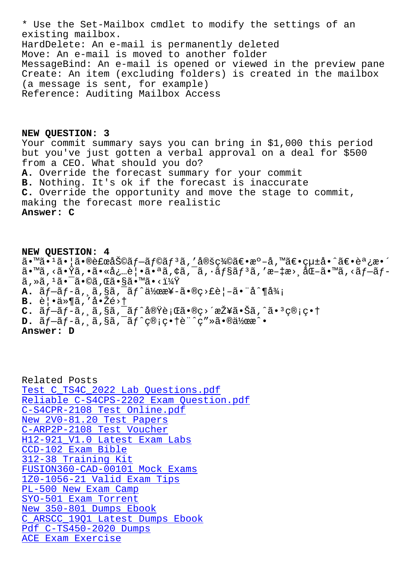CALDULIIY MAIIDUA. HardDelete: An e-mail is permanently deleted Move: An e-mail is moved to another folder MessageBind: An e-mail is opened or viewed in the preview pane Create: An item (excluding folders) is created in the mailbox (a message is sent, for example) Reference: Auditing Mailbox Access

NEW QUESTION: 3 Your commit summary says you can bring in \$1,000 this period but you've just gotten a verbal approval on a deal for \$500 from a CEO. What should you do? A. Override the forecast summary for your commit B. Nothing. It's ok if the forecast is inaccurate C. Override the opportunity and move the stage to commit, making the forecast more realistic Answer: C

NEW QUESTION: 4 ã.™ã.<sup>1</sup>ã. |ã.®è£œåŠ©ãf-ãf©ãf<sup>3</sup>ã,′定義ã€.æº-å,™ã€.çµ±å.^ã€.調æ.´ ã•™ã,<㕟ã,•㕫必覕㕪ã,¢ã,¯ã,•ョリã,′æ-‡æ>¸åŒ-ã•™ã,<ブãƒ- $\tilde{a}$ , » $\tilde{a}$ ,  $^1\tilde{a}$ • ¯̃ •© $\tilde{a}$ , Œ $\tilde{a}$ •§ $\tilde{a}$ •™ $\tilde{a}$ •< $1\frac{1}{4}\tilde{Y}$ **A.**  $\tilde{a}f-\tilde{a}f-\tilde{a}$ ,  $\tilde{a}$ ,  $\tilde{s}\tilde{a}$ ,  $\tilde{a}f\tilde{a}f\tilde{a}$   $\tilde{a}g\tilde{x}$   $\tilde{s}$   $\tilde{s}$   $\tilde{s}$   $\tilde{s}$   $\tilde{s}$   $\tilde{s}$   $\tilde{s}$   $\tilde{s}$   $\tilde{s}$   $\tilde{s}$   $\tilde{s}$   $\tilde{s}$   $\tilde{s}$   $\tilde{s}$   $\tilde{s}$   $\tilde{s}$   $\$ B. 覕ä»¶ã,′啎é>†  $C.$   $\tilde{a}f-\tilde{a}f-\tilde{a}$ ,  $\tilde{a}$ ,  $\tilde{s}\tilde{a}$ ,  $\tilde{a}f^{\hat{a}}\tilde{a}\tilde{v}\tilde{e}$ ; $\tilde{a}\tilde{s}$ ,  $\tilde{c}$ ,  $\tilde{c}$ ,  $\tilde{c}$ ,  $\tilde{a}$ ,  $\tilde{c}$ ,  $\tilde{a}$ ,  $\tilde{c}$ ,  $\tilde{c}$ ,  $\tilde{c}$ ,  $\tilde{c}$ ,  $\tilde{c}$ ,  $\tilde{c}$ ,  $\$  $D. \tilde{a}f - \tilde{a}f - \tilde{a}$ ,  $\tilde{a}$ ,  $\tilde{a}$ ,  $\tilde{a}f^c \tilde{c}$  ;  $c \cdot t \tilde{e}^c c'' \tilde{a} \cdot \tilde{a}$ Answer: D

Related Posts Test C\_TS4C\_2022 Lab Questions.pdf Reliable C-S4CPS-2202 Exam Question.pdf C-S4CPR-2108 Test Online.pdf New 2V0-81.20 Test Papers C-ARP2P-2108 Test Voucher H12-921\_V1.0 Latest Exam Labs CCD-102 Exam Bible 312-38 Training Kit FUSION360-CAD-00101 Mock Exams  $1Z0-1056-21$  Valid Exam Tips PL-500 New Exam Camp SYO-501 Exam Torrent New 350-801 Dumps Ebook C ARSCC 1901 Latest Dumps Ebook Pdf C-TS450-2020 Dumps ACE Exam Exercise